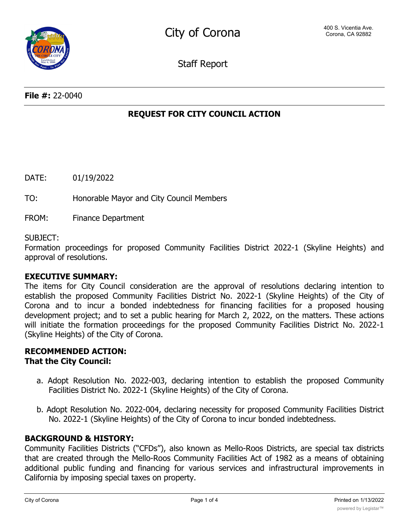Staff Report

# **REQUEST FOR CITY COUNCIL ACTION**

DATE: 01/19/2022

TO: Honorable Mayor and City Council Members

FROM: Finance Department

#### SUBJECT:

Formation proceedings for proposed Community Facilities District 2022-1 (Skyline Heights) and approval of resolutions.

### **EXECUTIVE SUMMARY:**

The items for City Council consideration are the approval of resolutions declaring intention to establish the proposed Community Facilities District No. 2022-1 (Skyline Heights) of the City of Corona and to incur a bonded indebtedness for financing facilities for a proposed housing development project; and to set a public hearing for March 2, 2022, on the matters. These actions will initiate the formation proceedings for the proposed Community Facilities District No. 2022-1 (Skyline Heights) of the City of Corona.

# **RECOMMENDED ACTION: That the City Council:**

- a. Adopt Resolution No. 2022-003, declaring intention to establish the proposed Community Facilities District No. 2022-1 (Skyline Heights) of the City of Corona.
- b. Adopt Resolution No. 2022-004, declaring necessity for proposed Community Facilities District No. 2022-1 (Skyline Heights) of the City of Corona to incur bonded indebtedness.

# **BACKGROUND & HISTORY:**

Community Facilities Districts ("CFDs"), also known as Mello-Roos Districts, are special tax districts that are created through the Mello-Roos Community Facilities Act of 1982 as a means of obtaining additional public funding and financing for various services and infrastructural improvements in California by imposing special taxes on property.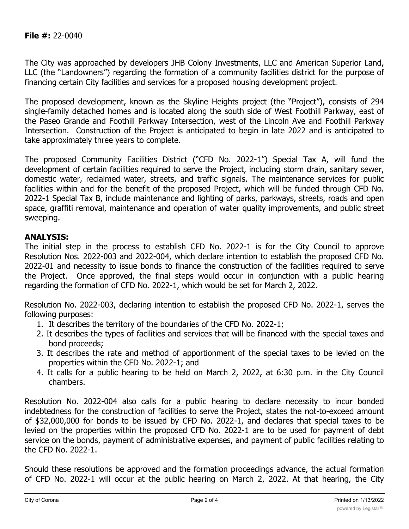## **File #:** 22-0040

The City was approached by developers JHB Colony Investments, LLC and American Superior Land, LLC (the "Landowners") regarding the formation of a community facilities district for the purpose of financing certain City facilities and services for a proposed housing development project.

The proposed development, known as the Skyline Heights project (the "Project"), consists of 294 single-family detached homes and is located along the south side of West Foothill Parkway, east of the Paseo Grande and Foothill Parkway Intersection, west of the Lincoln Ave and Foothill Parkway Intersection. Construction of the Project is anticipated to begin in late 2022 and is anticipated to take approximately three years to complete.

The proposed Community Facilities District ("CFD No. 2022-1") Special Tax A, will fund the development of certain facilities required to serve the Project, including storm drain, sanitary sewer, domestic water, reclaimed water, streets, and traffic signals. The maintenance services for public facilities within and for the benefit of the proposed Project, which will be funded through CFD No. 2022-1 Special Tax B, include maintenance and lighting of parks, parkways, streets, roads and open space, graffiti removal, maintenance and operation of water quality improvements, and public street sweeping.

# **ANALYSIS:**

The initial step in the process to establish CFD No. 2022-1 is for the City Council to approve Resolution Nos. 2022-003 and 2022-004, which declare intention to establish the proposed CFD No. 2022-01 and necessity to issue bonds to finance the construction of the facilities required to serve the Project. Once approved, the final steps would occur in conjunction with a public hearing regarding the formation of CFD No. 2022-1, which would be set for March 2, 2022.

Resolution No. 2022-003, declaring intention to establish the proposed CFD No. 2022-1, serves the following purposes:

- 1. It describes the territory of the boundaries of the CFD No. 2022-1;
- 2. It describes the types of facilities and services that will be financed with the special taxes and bond proceeds;
- 3. It describes the rate and method of apportionment of the special taxes to be levied on the properties within the CFD No. 2022-1; and
- 4. It calls for a public hearing to be held on March 2, 2022, at 6:30 p.m. in the City Council chambers.

Resolution No. 2022-004 also calls for a public hearing to declare necessity to incur bonded indebtedness for the construction of facilities to serve the Project, states the not-to-exceed amount of \$32,000,000 for bonds to be issued by CFD No. 2022-1, and declares that special taxes to be levied on the properties within the proposed CFD No. 2022-1 are to be used for payment of debt service on the bonds, payment of administrative expenses, and payment of public facilities relating to the CFD No. 2022-1.

Should these resolutions be approved and the formation proceedings advance, the actual formation of CFD No. 2022-1 will occur at the public hearing on March 2, 2022. At that hearing, the City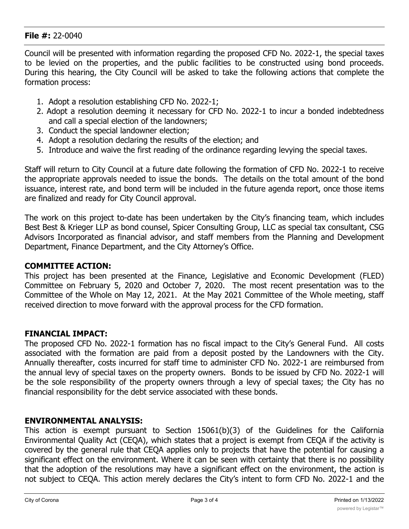## **File #:** 22-0040

Council will be presented with information regarding the proposed CFD No. 2022-1, the special taxes to be levied on the properties, and the public facilities to be constructed using bond proceeds. During this hearing, the City Council will be asked to take the following actions that complete the formation process:

- 1. Adopt a resolution establishing CFD No. 2022-1;
- 2. Adopt a resolution deeming it necessary for CFD No. 2022-1 to incur a bonded indebtedness and call a special election of the landowners;
- 3. Conduct the special landowner election;
- 4. Adopt a resolution declaring the results of the election; and
- 5. Introduce and waive the first reading of the ordinance regarding levying the special taxes.

Staff will return to City Council at a future date following the formation of CFD No. 2022-1 to receive the appropriate approvals needed to issue the bonds. The details on the total amount of the bond issuance, interest rate, and bond term will be included in the future agenda report, once those items are finalized and ready for City Council approval.

The work on this project to-date has been undertaken by the City's financing team, which includes Best Best & Krieger LLP as bond counsel, Spicer Consulting Group, LLC as special tax consultant, CSG Advisors Incorporated as financial advisor, and staff members from the Planning and Development Department, Finance Department, and the City Attorney's Office.

# **COMMITTEE ACTION:**

This project has been presented at the Finance, Legislative and Economic Development (FLED) Committee on February 5, 2020 and October 7, 2020. The most recent presentation was to the Committee of the Whole on May 12, 2021. At the May 2021 Committee of the Whole meeting, staff received direction to move forward with the approval process for the CFD formation.

### **FINANCIAL IMPACT:**

The proposed CFD No. 2022-1 formation has no fiscal impact to the City's General Fund. All costs associated with the formation are paid from a deposit posted by the Landowners with the City. Annually thereafter, costs incurred for staff time to administer CFD No. 2022-1 are reimbursed from the annual levy of special taxes on the property owners. Bonds to be issued by CFD No. 2022-1 will be the sole responsibility of the property owners through a levy of special taxes; the City has no financial responsibility for the debt service associated with these bonds.

### **ENVIRONMENTAL ANALYSIS:**

This action is exempt pursuant to Section 15061(b)(3) of the Guidelines for the California Environmental Quality Act (CEQA), which states that a project is exempt from CEQA if the activity is covered by the general rule that CEQA applies only to projects that have the potential for causing a significant effect on the environment. Where it can be seen with certainty that there is no possibility that the adoption of the resolutions may have a significant effect on the environment, the action is not subject to CEQA. This action merely declares the City's intent to form CFD No. 2022-1 and the